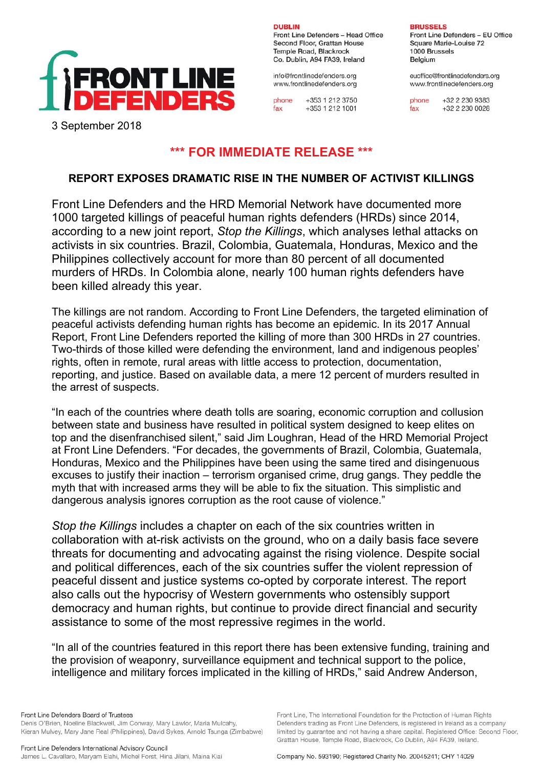

**DUBLIN** Front Line Defenders - Head Office Second Floor, Grattan House Temple Road, Blackrock Co. Dublin, A94 FA39, Ireland

info@frontlinedefenders.org www.frontlinedefenders.org

phone +353 1 212 3750 +353 1 212 1001  $fax$ 

**BRUSSELS** 

Front Line Defenders - EU Office Square Marie-Louise 72 1000 Brussels Belaium

euoffice@frontlinedefenders.org www.frontlinedefenders.org

phone +32 2 230 9383 +32 2 230 0028  $fax$ 

3 September 2018

## **\*\*\* FOR IMMEDIATE RELEASE \*\*\***

## **REPORT EXPOSES DRAMATIC RISE IN THE NUMBER OF ACTIVIST KILLINGS**

Front Line Defenders and the HRD Memorial Network have documented more 1000 targeted killings of peaceful human rights defenders (HRDs) since 2014, according to a new joint report, *Stop the Killings*, which analyses lethal attacks on activists in six countries. Brazil, Colombia, Guatemala, Honduras, Mexico and the Philippines collectively account for more than 80 percent of all documented murders of HRDs. In Colombia alone, nearly 100 human rights defenders have been killed already this year.

The killings are not random. According to Front Line Defenders, the targeted elimination of peaceful activists defending human rights has become an epidemic. In its 2017 Annual Report, Front Line Defenders reported the killing of more than 300 HRDs in 27 countries. Two-thirds of those killed were defending the environment, land and indigenous peoples' rights, often in remote, rural areas with little access to protection, documentation, reporting, and justice. Based on available data, a mere 12 percent of murders resulted in the arrest of suspects.

"In each of the countries where death tolls are soaring, economic corruption and collusion between state and business have resulted in political system designed to keep elites on top and the disenfranchised silent," said Jim Loughran, Head of the HRD Memorial Project at Front Line Defenders. "For decades, the governments of Brazil, Colombia, Guatemala, Honduras, Mexico and the Philippines have been using the same tired and disingenuous excuses to justify their inaction – terrorism organised crime, drug gangs. They peddle the myth that with increased arms they will be able to fix the situation. This simplistic and dangerous analysis ignores corruption as the root cause of violence."

*Stop the Killings* includes a chapter on each of the six countries written in collaboration with at-risk activists on the ground, who on a daily basis face severe threats for documenting and advocating against the rising violence. Despite social and political differences, each of the six countries suffer the violent repression of peaceful dissent and justice systems co-opted by corporate interest. The report also calls out the hypocrisy of Western governments who ostensibly support democracy and human rights, but continue to provide direct financial and security assistance to some of the most repressive regimes in the world.

"In all of the countries featured in this report there has been extensive funding, training and the provision of weaponry, surveillance equipment and technical support to the police, intelligence and military forces implicated in the killing of HRDs," said Andrew Anderson,

Front Line Defenders Board of Trustees Denis O'Brien, Noeline Blackwell, Jim Conway, Mary Lawlor, Maria Mulcahy, Kieran Mulvey, Mary Jane Real (Philippines), David Sykes, Arnold Tsunga (Zimbabwe)

Front Line, The International Foundation for the Protection of Human Rights Defenders trading as Front Line Defenders, is registered in Ireland as a company limited by guarantee and not having a share capital. Registered Office: Second Floor, Grattan House, Temple Road, Blackrock, Co Dublin, A94 FA39, Ireland.

Company No. 593190; Registered Charity No. 20045241; CHY 14029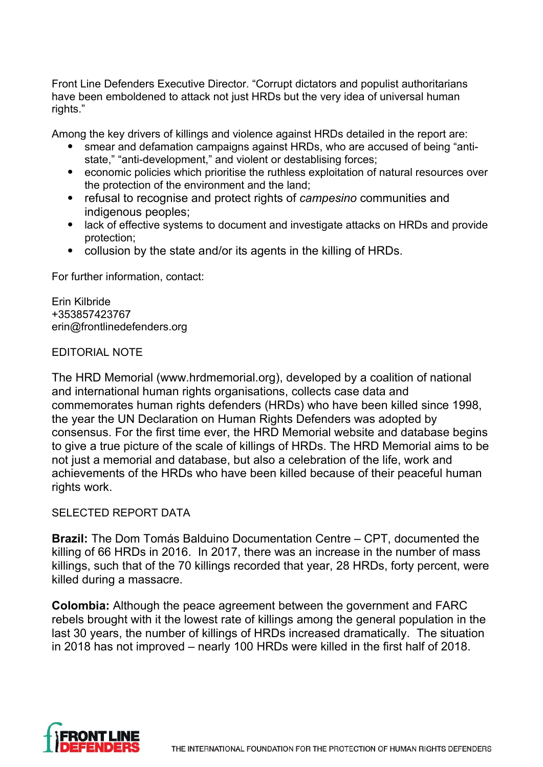Front Line Defenders Executive Director. "Corrupt dictators and populist authoritarians have been emboldened to attack not just HRDs but the very idea of universal human rights."

Among the key drivers of killings and violence against HRDs detailed in the report are:

- smear and defamation campaigns against HRDs, who are accused of being "antistate," "anti-development," and violent or destablising forces;
- economic policies which prioritise the ruthless exploitation of natural resources over the protection of the environment and the land;
- refusal to recognise and protect rights of *campesino* communities and indigenous peoples;
- lack of effective systems to document and investigate attacks on HRDs and provide protection;
- collusion by the state and/or its agents in the killing of HRDs.

For further information, contact:

Erin Kilbride +353857423767 erin@frontlinedefenders.org

## EDITORIAL NOTE

The HRD Memorial (www.hrdmemorial.org), developed by a coalition of national and international human rights organisations, collects case data and commemorates human rights defenders (HRDs) who have been killed since 1998, the year the UN Declaration on Human Rights Defenders was adopted by consensus. For the first time ever, the HRD Memorial website and database begins to give a true picture of the scale of killings of HRDs. The HRD Memorial aims to be not just a memorial and database, but also a celebration of the life, work and achievements of the HRDs who have been killed because of their peaceful human rights work.

## SELECTED REPORT DATA

**Brazil:** The Dom Tomás Balduino Documentation Centre – CPT, documented the killing of 66 HRDs in 2016. In 2017, there was an increase in the number of mass killings, such that of the 70 killings recorded that year, 28 HRDs, forty percent, were killed during a massacre.

**Colombia:** Although the peace agreement between the government and FARC rebels brought with it the lowest rate of killings among the general population in the last 30 years, the number of killings of HRDs increased dramatically. The situation in 2018 has not improved – nearly 100 HRDs were killed in the first half of 2018.